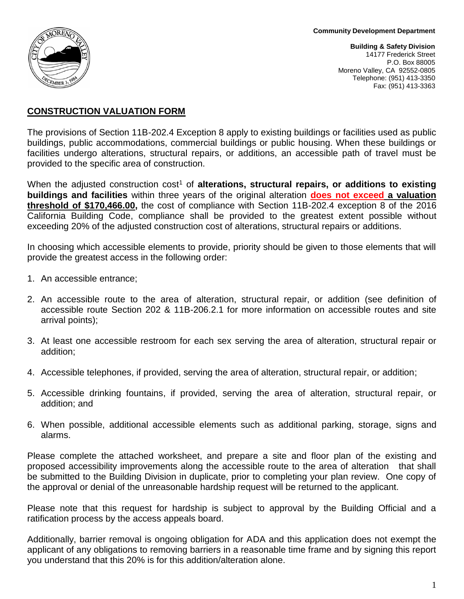

**Building & Safety Division** 14177 Frederick Street P.O. Box 88005 Moreno Valley, CA 92552-0805 Telephone: (951) 413-3350 Fax: (951) 413-3363

#### **CONSTRUCTION VALUATION FORM**

The provisions of Section 11B-202.4 Exception 8 apply to existing buildings or facilities used as public buildings, public accommodations, commercial buildings or public housing. When these buildings or facilities undergo alterations, structural repairs, or additions, an accessible path of travel must be provided to the specific area of construction.

When the adjusted construction cost<sup>1</sup> of **alterations, structural repairs, or additions to existing buildings and facilities** within three years of the original alteration **does not exceed a valuation threshold of \$170,466.00,** the cost of compliance with Section 11B-202.4 exception 8 of the 2016 California Building Code, compliance shall be provided to the greatest extent possible without exceeding 20% of the adjusted construction cost of alterations, structural repairs or additions.

In choosing which accessible elements to provide, priority should be given to those elements that will provide the greatest access in the following order:

- 1. An accessible entrance;
- 2. An accessible route to the area of alteration, structural repair, or addition (see definition of accessible route Section 202 & 11B-206.2.1 for more information on accessible routes and site arrival points);
- 3. At least one accessible restroom for each sex serving the area of alteration, structural repair or addition;
- 4. Accessible telephones, if provided, serving the area of alteration, structural repair, or addition;
- 5. Accessible drinking fountains, if provided, serving the area of alteration, structural repair, or addition; and
- 6. When possible, additional accessible elements such as additional parking, storage, signs and alarms.

Please complete the attached worksheet, and prepare a site and floor plan of the existing and proposed accessibility improvements along the accessible route to the area of alteration that shall be submitted to the Building Division in duplicate, prior to completing your plan review. One copy of the approval or denial of the unreasonable hardship request will be returned to the applicant.

Please note that this request for hardship is subject to approval by the Building Official and a ratification process by the access appeals board.

Additionally, barrier removal is ongoing obligation for ADA and this application does not exempt the applicant of any obligations to removing barriers in a reasonable time frame and by signing this report you understand that this 20% is for this addition/alteration alone.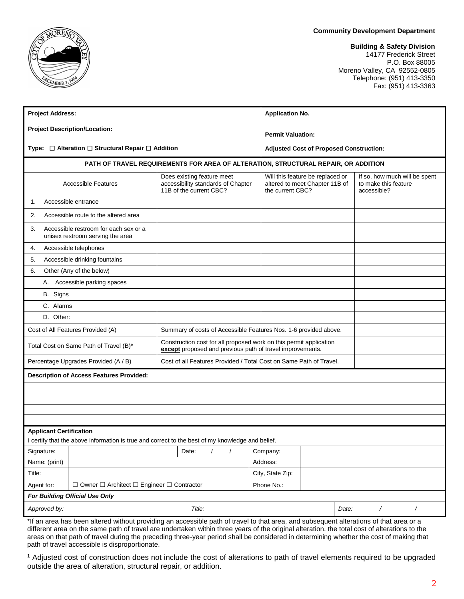#### **Community Development Department**

## EMBER ?

#### **Building & Safety Division**

14177 Frederick Street P.O. Box 88005 Moreno Valley, CA 92552-0805 Telephone: (951) 413-3350 Fax: (951) 413-3363

| <b>Project Description/Location:</b><br><b>Permit Valuation:</b><br>Type: □ Alteration □ Structural Repair □ Addition<br><b>Adjusted Cost of Proposed Construction:</b><br>PATH OF TRAVEL REQUIREMENTS FOR AREA OF ALTERATION, STRUCTURAL REPAIR, OR ADDITION<br>If so, how much will be spent<br>Does existing feature meet<br>Will this feature be replaced or<br>accessibility standards of Chapter<br>altered to meet Chapter 11B of<br>to make this feature<br><b>Accessible Features</b><br>11B of the current CBC?<br>the current CBC?<br>accessible?<br>Accessible entrance<br>1.<br>Accessible route to the altered area<br>2.<br>3.<br>Accessible restroom for each sex or a<br>unisex restroom serving the area<br>Accessible telephones<br>4.<br>5.<br>Accessible drinking fountains<br>6.<br>Other (Any of the below)<br>A. Accessible parking spaces<br>B. Signs<br>C. Alarms<br>D. Other:<br>Cost of All Features Provided (A)<br>Summary of costs of Accessible Features Nos. 1-6 provided above.<br>Construction cost for all proposed work on this permit application<br>Total Cost on Same Path of Travel (B)*<br>except proposed and previous path of travel improvements.<br>Cost of all Features Provided / Total Cost on Same Path of Travel.<br>Percentage Upgrades Provided (A / B)<br><b>Description of Access Features Provided:</b><br><b>Applicant Certification</b><br>I certify that the above information is true and correct to the best of my knowledge and belief.<br>Signature:<br>Date:<br>$\prime$<br>Company:<br>$\prime$<br>Name: (print)<br>Address:<br>City, State Zip:<br>Title:<br>$\Box$ Owner $\Box$ Architect $\Box$ Engineer $\Box$ Contractor<br>Phone No.:<br>Agent for:<br>For Building Official Use Only<br>Title:<br>$\overline{1}$<br>Approved by:<br>Date:<br>$\overline{\phantom{a}}$ | <b>Project Address:</b> |  |  | <b>Application No.</b> |  |  |  |  |  |  |
|-----------------------------------------------------------------------------------------------------------------------------------------------------------------------------------------------------------------------------------------------------------------------------------------------------------------------------------------------------------------------------------------------------------------------------------------------------------------------------------------------------------------------------------------------------------------------------------------------------------------------------------------------------------------------------------------------------------------------------------------------------------------------------------------------------------------------------------------------------------------------------------------------------------------------------------------------------------------------------------------------------------------------------------------------------------------------------------------------------------------------------------------------------------------------------------------------------------------------------------------------------------------------------------------------------------------------------------------------------------------------------------------------------------------------------------------------------------------------------------------------------------------------------------------------------------------------------------------------------------------------------------------------------------------------------------------------------------------------------------------------------------------------------------------------------------------------------------------------|-------------------------|--|--|------------------------|--|--|--|--|--|--|
|                                                                                                                                                                                                                                                                                                                                                                                                                                                                                                                                                                                                                                                                                                                                                                                                                                                                                                                                                                                                                                                                                                                                                                                                                                                                                                                                                                                                                                                                                                                                                                                                                                                                                                                                                                                                                                               |                         |  |  |                        |  |  |  |  |  |  |
|                                                                                                                                                                                                                                                                                                                                                                                                                                                                                                                                                                                                                                                                                                                                                                                                                                                                                                                                                                                                                                                                                                                                                                                                                                                                                                                                                                                                                                                                                                                                                                                                                                                                                                                                                                                                                                               |                         |  |  |                        |  |  |  |  |  |  |
|                                                                                                                                                                                                                                                                                                                                                                                                                                                                                                                                                                                                                                                                                                                                                                                                                                                                                                                                                                                                                                                                                                                                                                                                                                                                                                                                                                                                                                                                                                                                                                                                                                                                                                                                                                                                                                               |                         |  |  |                        |  |  |  |  |  |  |
|                                                                                                                                                                                                                                                                                                                                                                                                                                                                                                                                                                                                                                                                                                                                                                                                                                                                                                                                                                                                                                                                                                                                                                                                                                                                                                                                                                                                                                                                                                                                                                                                                                                                                                                                                                                                                                               |                         |  |  |                        |  |  |  |  |  |  |
|                                                                                                                                                                                                                                                                                                                                                                                                                                                                                                                                                                                                                                                                                                                                                                                                                                                                                                                                                                                                                                                                                                                                                                                                                                                                                                                                                                                                                                                                                                                                                                                                                                                                                                                                                                                                                                               |                         |  |  |                        |  |  |  |  |  |  |
|                                                                                                                                                                                                                                                                                                                                                                                                                                                                                                                                                                                                                                                                                                                                                                                                                                                                                                                                                                                                                                                                                                                                                                                                                                                                                                                                                                                                                                                                                                                                                                                                                                                                                                                                                                                                                                               |                         |  |  |                        |  |  |  |  |  |  |
|                                                                                                                                                                                                                                                                                                                                                                                                                                                                                                                                                                                                                                                                                                                                                                                                                                                                                                                                                                                                                                                                                                                                                                                                                                                                                                                                                                                                                                                                                                                                                                                                                                                                                                                                                                                                                                               |                         |  |  |                        |  |  |  |  |  |  |
|                                                                                                                                                                                                                                                                                                                                                                                                                                                                                                                                                                                                                                                                                                                                                                                                                                                                                                                                                                                                                                                                                                                                                                                                                                                                                                                                                                                                                                                                                                                                                                                                                                                                                                                                                                                                                                               |                         |  |  |                        |  |  |  |  |  |  |
|                                                                                                                                                                                                                                                                                                                                                                                                                                                                                                                                                                                                                                                                                                                                                                                                                                                                                                                                                                                                                                                                                                                                                                                                                                                                                                                                                                                                                                                                                                                                                                                                                                                                                                                                                                                                                                               |                         |  |  |                        |  |  |  |  |  |  |
|                                                                                                                                                                                                                                                                                                                                                                                                                                                                                                                                                                                                                                                                                                                                                                                                                                                                                                                                                                                                                                                                                                                                                                                                                                                                                                                                                                                                                                                                                                                                                                                                                                                                                                                                                                                                                                               |                         |  |  |                        |  |  |  |  |  |  |
|                                                                                                                                                                                                                                                                                                                                                                                                                                                                                                                                                                                                                                                                                                                                                                                                                                                                                                                                                                                                                                                                                                                                                                                                                                                                                                                                                                                                                                                                                                                                                                                                                                                                                                                                                                                                                                               |                         |  |  |                        |  |  |  |  |  |  |
|                                                                                                                                                                                                                                                                                                                                                                                                                                                                                                                                                                                                                                                                                                                                                                                                                                                                                                                                                                                                                                                                                                                                                                                                                                                                                                                                                                                                                                                                                                                                                                                                                                                                                                                                                                                                                                               |                         |  |  |                        |  |  |  |  |  |  |
|                                                                                                                                                                                                                                                                                                                                                                                                                                                                                                                                                                                                                                                                                                                                                                                                                                                                                                                                                                                                                                                                                                                                                                                                                                                                                                                                                                                                                                                                                                                                                                                                                                                                                                                                                                                                                                               |                         |  |  |                        |  |  |  |  |  |  |
|                                                                                                                                                                                                                                                                                                                                                                                                                                                                                                                                                                                                                                                                                                                                                                                                                                                                                                                                                                                                                                                                                                                                                                                                                                                                                                                                                                                                                                                                                                                                                                                                                                                                                                                                                                                                                                               |                         |  |  |                        |  |  |  |  |  |  |
|                                                                                                                                                                                                                                                                                                                                                                                                                                                                                                                                                                                                                                                                                                                                                                                                                                                                                                                                                                                                                                                                                                                                                                                                                                                                                                                                                                                                                                                                                                                                                                                                                                                                                                                                                                                                                                               |                         |  |  |                        |  |  |  |  |  |  |
|                                                                                                                                                                                                                                                                                                                                                                                                                                                                                                                                                                                                                                                                                                                                                                                                                                                                                                                                                                                                                                                                                                                                                                                                                                                                                                                                                                                                                                                                                                                                                                                                                                                                                                                                                                                                                                               |                         |  |  |                        |  |  |  |  |  |  |
|                                                                                                                                                                                                                                                                                                                                                                                                                                                                                                                                                                                                                                                                                                                                                                                                                                                                                                                                                                                                                                                                                                                                                                                                                                                                                                                                                                                                                                                                                                                                                                                                                                                                                                                                                                                                                                               |                         |  |  |                        |  |  |  |  |  |  |
|                                                                                                                                                                                                                                                                                                                                                                                                                                                                                                                                                                                                                                                                                                                                                                                                                                                                                                                                                                                                                                                                                                                                                                                                                                                                                                                                                                                                                                                                                                                                                                                                                                                                                                                                                                                                                                               |                         |  |  |                        |  |  |  |  |  |  |
|                                                                                                                                                                                                                                                                                                                                                                                                                                                                                                                                                                                                                                                                                                                                                                                                                                                                                                                                                                                                                                                                                                                                                                                                                                                                                                                                                                                                                                                                                                                                                                                                                                                                                                                                                                                                                                               |                         |  |  |                        |  |  |  |  |  |  |
|                                                                                                                                                                                                                                                                                                                                                                                                                                                                                                                                                                                                                                                                                                                                                                                                                                                                                                                                                                                                                                                                                                                                                                                                                                                                                                                                                                                                                                                                                                                                                                                                                                                                                                                                                                                                                                               |                         |  |  |                        |  |  |  |  |  |  |
|                                                                                                                                                                                                                                                                                                                                                                                                                                                                                                                                                                                                                                                                                                                                                                                                                                                                                                                                                                                                                                                                                                                                                                                                                                                                                                                                                                                                                                                                                                                                                                                                                                                                                                                                                                                                                                               |                         |  |  |                        |  |  |  |  |  |  |
|                                                                                                                                                                                                                                                                                                                                                                                                                                                                                                                                                                                                                                                                                                                                                                                                                                                                                                                                                                                                                                                                                                                                                                                                                                                                                                                                                                                                                                                                                                                                                                                                                                                                                                                                                                                                                                               |                         |  |  |                        |  |  |  |  |  |  |
|                                                                                                                                                                                                                                                                                                                                                                                                                                                                                                                                                                                                                                                                                                                                                                                                                                                                                                                                                                                                                                                                                                                                                                                                                                                                                                                                                                                                                                                                                                                                                                                                                                                                                                                                                                                                                                               |                         |  |  |                        |  |  |  |  |  |  |
|                                                                                                                                                                                                                                                                                                                                                                                                                                                                                                                                                                                                                                                                                                                                                                                                                                                                                                                                                                                                                                                                                                                                                                                                                                                                                                                                                                                                                                                                                                                                                                                                                                                                                                                                                                                                                                               |                         |  |  |                        |  |  |  |  |  |  |
|                                                                                                                                                                                                                                                                                                                                                                                                                                                                                                                                                                                                                                                                                                                                                                                                                                                                                                                                                                                                                                                                                                                                                                                                                                                                                                                                                                                                                                                                                                                                                                                                                                                                                                                                                                                                                                               |                         |  |  |                        |  |  |  |  |  |  |
|                                                                                                                                                                                                                                                                                                                                                                                                                                                                                                                                                                                                                                                                                                                                                                                                                                                                                                                                                                                                                                                                                                                                                                                                                                                                                                                                                                                                                                                                                                                                                                                                                                                                                                                                                                                                                                               |                         |  |  |                        |  |  |  |  |  |  |
|                                                                                                                                                                                                                                                                                                                                                                                                                                                                                                                                                                                                                                                                                                                                                                                                                                                                                                                                                                                                                                                                                                                                                                                                                                                                                                                                                                                                                                                                                                                                                                                                                                                                                                                                                                                                                                               |                         |  |  |                        |  |  |  |  |  |  |
|                                                                                                                                                                                                                                                                                                                                                                                                                                                                                                                                                                                                                                                                                                                                                                                                                                                                                                                                                                                                                                                                                                                                                                                                                                                                                                                                                                                                                                                                                                                                                                                                                                                                                                                                                                                                                                               |                         |  |  |                        |  |  |  |  |  |  |
|                                                                                                                                                                                                                                                                                                                                                                                                                                                                                                                                                                                                                                                                                                                                                                                                                                                                                                                                                                                                                                                                                                                                                                                                                                                                                                                                                                                                                                                                                                                                                                                                                                                                                                                                                                                                                                               |                         |  |  |                        |  |  |  |  |  |  |

\*If an area has been altered without providing an accessible path of travel to that area, and subsequent alterations of that area or a different area on the same path of travel are undertaken within three years of the original alteration, the total cost of alterations to the areas on that path of travel during the preceding three-year period shall be considered in determining whether the cost of making that path of travel accessible is disproportionate.

<sup>1</sup> Adjusted cost of construction does not include the cost of alterations to path of travel elements required to be upgraded outside the area of alteration, structural repair, or addition.